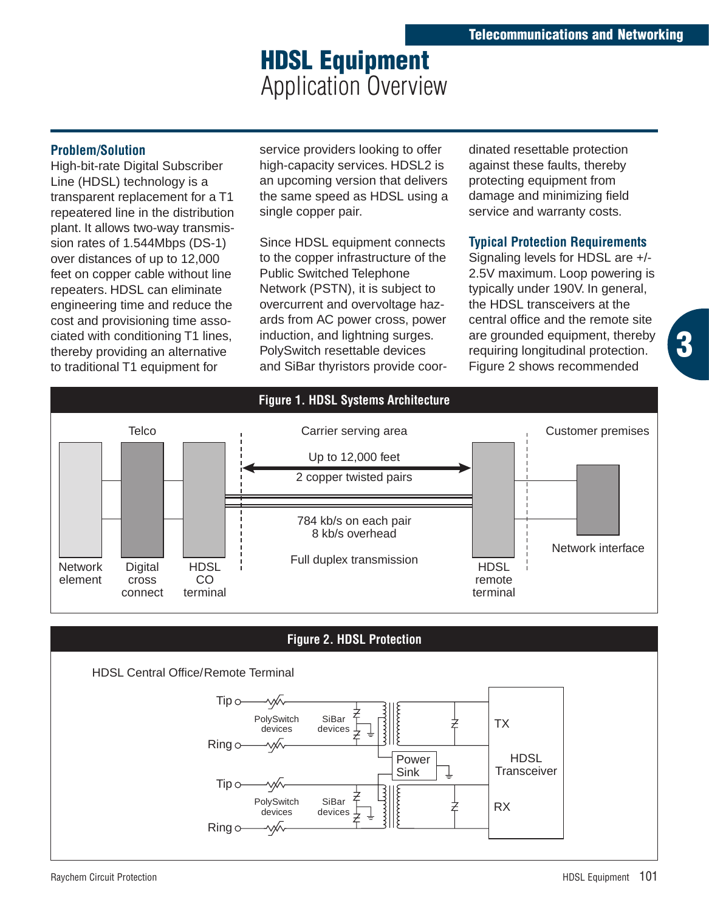## **HDSL Equipment**  Application Overview

## **Problem/Solution**

High-bit-rate Digital Subscriber Line (HDSL) technology is a transparent replacement for a T1 repeatered line in the distribution plant. It allows two-way transmission rates of 1.544Mbps (DS-1) over distances of up to 12,000 feet on copper cable without line repeaters. HDSL can eliminate engineering time and reduce the cost and provisioning time associated with conditioning T1 lines, thereby providing an alternative to traditional T1 equipment for

service providers looking to offer high-capacity services. HDSL2 is an upcoming version that delivers the same speed as HDSL using a single copper pair.

Since HDSL equipment connects to the copper infrastructure of the Public Switched Telephone Network (PSTN), it is subject to overcurrent and overvoltage hazards from AC power cross, power induction, and lightning surges. PolySwitch resettable devices and SiBar thyristors provide coordinated resettable protection against these faults, thereby protecting equipment from damage and minimizing field service and warranty costs.

## **Typical Protection Requirements**

Signaling levels for HDSL are +/- 2.5V maximum. Loop powering is typically under 190V. In general, the HDSL transceivers at the central office and the remote site are grounded equipment, thereby requiring longitudinal protection. Figure 2 shows recommended

**3**



**Figure 2. HDSL Protection**